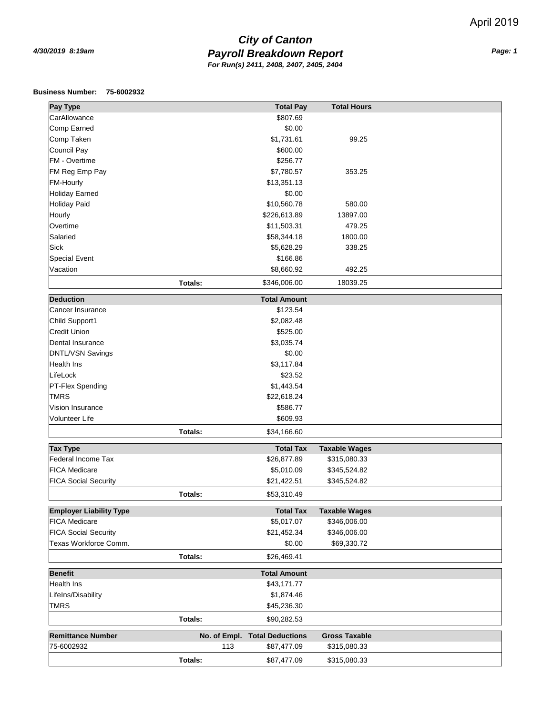## *Payroll Breakdown Report 4/30/2019 8:19am Page: 1 City of Canton For Run(s) 2411, 2408, 2407, 2405, 2404*

## **Business Number: 75-6002932**

| Pay Type                       |         | <b>Total Pay</b>              | <b>Total Hours</b>   |  |
|--------------------------------|---------|-------------------------------|----------------------|--|
| CarAllowance                   |         | \$807.69                      |                      |  |
| Comp Earned                    |         | \$0.00                        |                      |  |
| Comp Taken                     |         | \$1,731.61                    | 99.25                |  |
| <b>Council Pay</b>             |         | \$600.00                      |                      |  |
| FM - Overtime                  |         |                               |                      |  |
|                                |         | \$256.77                      |                      |  |
| FM Reg Emp Pay                 |         | \$7,780.57                    | 353.25               |  |
| <b>FM-Hourly</b>               |         | \$13,351.13                   |                      |  |
| <b>Holiday Earned</b>          |         | \$0.00                        |                      |  |
| <b>Holiday Paid</b>            |         | \$10,560.78                   | 580.00               |  |
| Hourly                         |         | \$226,613.89                  | 13897.00             |  |
| Overtime                       |         | \$11,503.31                   | 479.25               |  |
| Salaried                       |         | \$58,344.18                   | 1800.00              |  |
| <b>Sick</b>                    |         | \$5,628.29                    | 338.25               |  |
| <b>Special Event</b>           |         | \$166.86                      |                      |  |
| Vacation                       |         | \$8,660.92                    | 492.25               |  |
|                                | Totals: | \$346,006.00                  | 18039.25             |  |
| <b>Deduction</b>               |         | <b>Total Amount</b>           |                      |  |
| Cancer Insurance               |         | \$123.54                      |                      |  |
| Child Support1                 |         | \$2,082.48                    |                      |  |
| <b>Credit Union</b>            |         | \$525.00                      |                      |  |
| Dental Insurance               |         | \$3,035.74                    |                      |  |
| <b>DNTL/VSN Savings</b>        |         | \$0.00                        |                      |  |
| <b>Health Ins</b>              |         | \$3,117.84                    |                      |  |
| LifeLock                       |         | \$23.52                       |                      |  |
| PT-Flex Spending               |         | \$1,443.54                    |                      |  |
| <b>TMRS</b>                    |         | \$22,618.24                   |                      |  |
| Vision Insurance               |         | \$586.77                      |                      |  |
| <b>Volunteer Life</b>          |         | \$609.93                      |                      |  |
|                                | Totals: | \$34,166.60                   |                      |  |
| <b>Tax Type</b>                |         | <b>Total Tax</b>              | <b>Taxable Wages</b> |  |
| Federal Income Tax             |         | \$26,877.89                   | \$315,080.33         |  |
| <b>FICA Medicare</b>           |         | \$5,010.09                    | \$345,524.82         |  |
| <b>FICA Social Security</b>    |         | \$21,422.51                   | \$345,524.82         |  |
|                                | Totals: | \$53,310.49                   |                      |  |
| <b>Employer Liability Type</b> |         | <b>Total Tax</b>              | <b>Taxable Wages</b> |  |
| <b>FICA Medicare</b>           |         | \$5,017.07                    | \$346,006.00         |  |
| <b>FICA Social Security</b>    |         | \$21,452.34                   | \$346,006.00         |  |
| Texas Workforce Comm.          |         | \$0.00                        | \$69,330.72          |  |
|                                | Totals: | \$26,469.41                   |                      |  |
| <b>Benefit</b>                 |         | <b>Total Amount</b>           |                      |  |
| Health Ins                     |         | \$43,171.77                   |                      |  |
| LifeIns/Disability             |         | \$1,874.46                    |                      |  |
| <b>TMRS</b>                    |         | \$45,236.30                   |                      |  |
|                                | Totals: | \$90,282.53                   |                      |  |
| <b>Remittance Number</b>       |         | No. of Empl. Total Deductions | <b>Gross Taxable</b> |  |
| 75-6002932                     | 113     | \$87,477.09                   | \$315,080.33         |  |
|                                |         |                               |                      |  |
|                                | Totals: | \$87,477.09                   | \$315,080.33         |  |